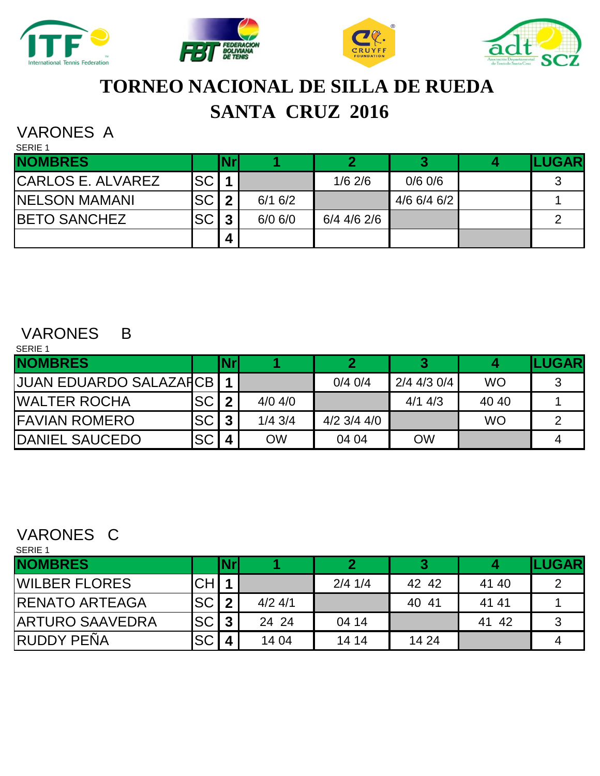





# **TORNEO NACIONAL DE SILLA DE RUEDA SANTA CRUZ 2016**

### VARONES A SERIE 1

| <b>ULINE 1</b>           |           |     |             |             |             |                |
|--------------------------|-----------|-----|-------------|-------------|-------------|----------------|
| <b>NOMBRES</b>           |           | Nrl |             |             |             | <b>ILUGARI</b> |
| <b>CARLOS E. ALVAREZ</b> | <b>SC</b> |     |             | $1/6$ 2/6   | $0/6$ 0/6   |                |
| <b>NELSON MAMANI</b>     | <b>SC</b> | ◠   | 6/16/2      |             | 4/6 6/4 6/2 |                |
| <b>BETO SANCHEZ</b>      | <b>SC</b> | ົ   | $6/0$ $6/0$ | 6/4 4/6 2/6 |             |                |
|                          |           | 4   |             |             |             |                |

#### VARONES B SERIE 1

| <b>ULINE 1</b>          |           |                         |           |                 |               |           |              |
|-------------------------|-----------|-------------------------|-----------|-----------------|---------------|-----------|--------------|
| <b>NOMBRES</b>          |           | Nrl                     |           |                 | 3             |           | <b>LUGAR</b> |
| JUAN EDUARDO SALAZAFICB |           |                         |           | $0/4$ 0/4       | $2/4$ 4/3 0/4 | <b>WO</b> |              |
| <b>WALTER ROCHA</b>     | <b>SC</b> | $\overline{2}$          | $4/0$ 4/0 |                 | $4/1$ 4/3     | 40 40     |              |
| <b>FAVIAN ROMERO</b>    | <b>SC</b> | $\overline{3}$          | $1/4$ 3/4 | $4/2$ 3/4 $4/0$ |               | <b>WO</b> |              |
| DANIEL SAUCEDO          | <b>SC</b> | $\overline{\mathbf{4}}$ | <b>OW</b> | 04 04           | <b>OW</b>     |           |              |

#### VARONES C SERIE 1

| SERIE 1                |           |                         |           |           |       |            |               |
|------------------------|-----------|-------------------------|-----------|-----------|-------|------------|---------------|
| <b>NOMBRES</b>         |           | <b>Nr</b>               |           |           | 3     |            | <b>LUGARI</b> |
| <b>WILBER FLORES</b>   | <b>CH</b> |                         |           | $2/4$ 1/4 | 42 42 | 41 40      |               |
| <b>IRENATO ARTEAGA</b> | SC I      | $\boldsymbol{2}$        | $4/2$ 4/1 |           | 40 41 | 41 41      |               |
| <b>ARTURO SAAVEDRA</b> | SC        | 3                       | 24 24     | 04 14     |       | - 42<br>41 |               |
| IRUDDY PEÑA            | <b>SC</b> | $\overline{\mathbf{4}}$ | 14 04     | 14 14     | 14 24 |            |               |